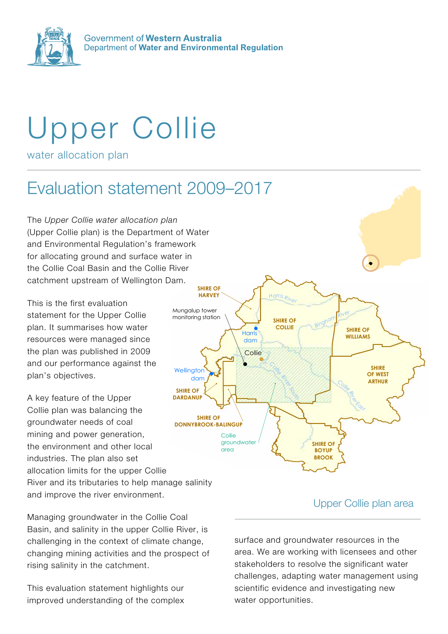

Government of Western Australia Department of Water and Environmental Regulation

# Upper Collie

water allocation plan

#### Evaluation statement 2009-2017 Collie

The *Upper Collie water allocation plan* (Upper Collie plan) is the Department of Water and Environmental Regulation's framework for allocating ground and surface water in the Collie Coal Basin and the Collie River catchment upstream of Wellington Dam.

This is the first evaluation statement for the Upper Collie plan. It summarises how water resources were managed since the plan was published in 2009 and our performance against the plan's objectives.

A key feature of the Upper Collie plan was balancing the groundwater needs of coal mining and power generation, the environment and other local industries. The plan also set allocation limits for the upper Collie River and its tributaries to help manage salinity and improve the river environment.

Managing groundwater in the Collie Coal Basin, and salinity in the upper Collie River, is challenging in the context of climate change, changing mining activities and the prospect of rising salinity in the catchment.

This evaluation statement highlights our improved understanding of the complex



### Upper Collie plan area

*CollieRiver East*

surface and groundwater resources in the area. We are working with licensees and other stakeholders to resolve the significant water challenges, adapting water management using scientific evidence and investigating new water opportunities.

Upper Collie plan area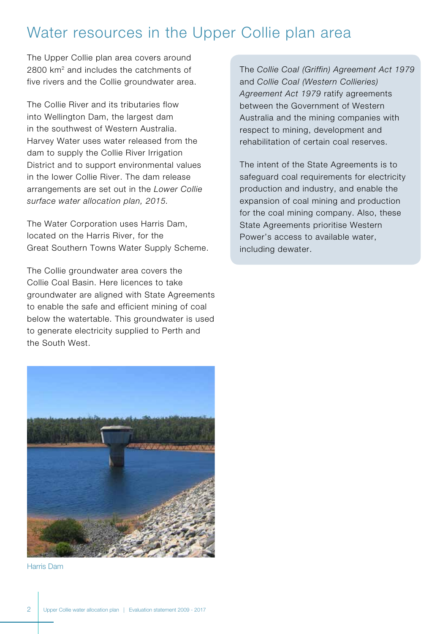# Water resources in the Upper Collie plan area

The Upper Collie plan area covers around 2800 km2 and includes the catchments of five rivers and the Collie groundwater area.

The Collie River and its tributaries flow into Wellington Dam, the largest dam in the southwest of Western Australia. Harvey Water uses water released from the dam to supply the Collie River Irrigation District and to support environmental values in the lower Collie River. The dam release arrangements are set out in the *Lower Collie surface water allocation plan, 2015.*

The Water Corporation uses Harris Dam, located on the Harris River, for the Great Southern Towns Water Supply Scheme.

The Collie groundwater area covers the Collie Coal Basin. Here licences to take groundwater are aligned with State Agreements to enable the safe and efficient mining of coal below the watertable. This groundwater is used to generate electricity supplied to Perth and the South West.



Harris Dam

The *Collie Coal (Griffin) Agreement Act 1979* and *Collie Coal (Western Collieries) Agreement Act 1979* ratify agreements between the Government of Western Australia and the mining companies with respect to mining, development and rehabilitation of certain coal reserves.

The intent of the State Agreements is to safeguard coal requirements for electricity production and industry, and enable the expansion of coal mining and production for the coal mining company. Also, these State Agreements prioritise Western Power's access to available water, including dewater.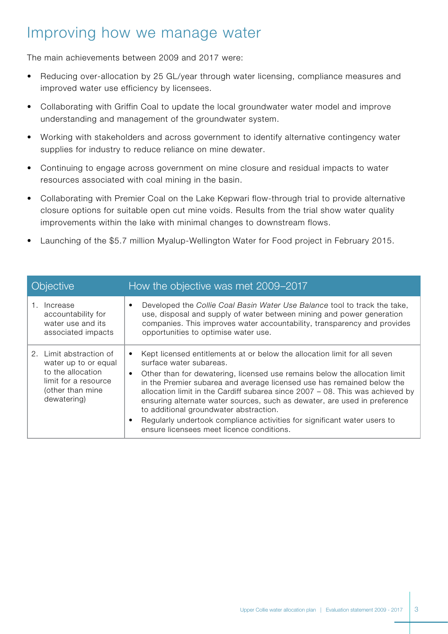# Improving how we manage water

The main achievements between 2009 and 2017 were:

- Reducing over-allocation by 25 GL/year through water licensing, compliance measures and improved water use efficiency by licensees.
- Collaborating with Griffin Coal to update the local groundwater water model and improve understanding and management of the groundwater system.
- Working with stakeholders and across government to identify alternative contingency water supplies for industry to reduce reliance on mine dewater.
- Continuing to engage across government on mine closure and residual impacts to water resources associated with coal mining in the basin.
- Collaborating with Premier Coal on the Lake Kepwari flow-through trial to provide alternative closure options for suitable open cut mine voids. Results from the trial show water quality improvements within the lake with minimal changes to downstream flows.
- Launching of the \$5.7 million Myalup-Wellington Water for Food project in February 2015.

| Objective                                                                                                                       | How the objective was met 2009–2017                                                                                                                                                                                                                                                                                                                                                                                                                                                                                                                                                                                                     |
|---------------------------------------------------------------------------------------------------------------------------------|-----------------------------------------------------------------------------------------------------------------------------------------------------------------------------------------------------------------------------------------------------------------------------------------------------------------------------------------------------------------------------------------------------------------------------------------------------------------------------------------------------------------------------------------------------------------------------------------------------------------------------------------|
| Increase<br>accountability for<br>water use and its<br>associated impacts                                                       | Developed the Collie Coal Basin Water Use Balance tool to track the take,<br>٠<br>use, disposal and supply of water between mining and power generation<br>companies. This improves water accountability, transparency and provides<br>opportunities to optimise water use.                                                                                                                                                                                                                                                                                                                                                             |
| 2. Limit abstraction of<br>water up to or equal<br>to the allocation<br>limit for a resource<br>(other than mine<br>dewatering) | Kept licensed entitlements at or below the allocation limit for all seven<br>$\bullet$<br>surface water subareas.<br>Other than for dewatering, licensed use remains below the allocation limit<br>$\bullet$<br>in the Premier subarea and average licensed use has remained below the<br>allocation limit in the Cardiff subarea since $2007 - 08$ . This was achieved by<br>ensuring alternate water sources, such as dewater, are used in preference<br>to additional groundwater abstraction.<br>Regularly undertook compliance activities for significant water users to<br>$\bullet$<br>ensure licensees meet licence conditions. |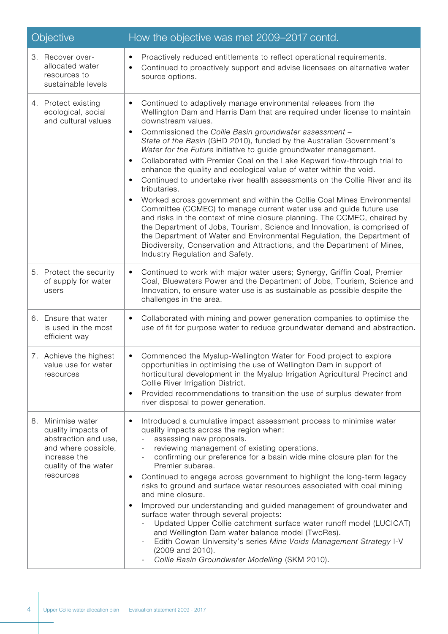| <b>Objective</b>                                                                                                                            | How the objective was met 2009–2017 contd.                                                                                                                                                                                                                                                                                                                                                                                                                                                                                                                                                                                                                                                                                                                                                                                                                                                                                                                                                                                                                                                                                                                                                   |
|---------------------------------------------------------------------------------------------------------------------------------------------|----------------------------------------------------------------------------------------------------------------------------------------------------------------------------------------------------------------------------------------------------------------------------------------------------------------------------------------------------------------------------------------------------------------------------------------------------------------------------------------------------------------------------------------------------------------------------------------------------------------------------------------------------------------------------------------------------------------------------------------------------------------------------------------------------------------------------------------------------------------------------------------------------------------------------------------------------------------------------------------------------------------------------------------------------------------------------------------------------------------------------------------------------------------------------------------------|
| 3. Recover over-<br>allocated water<br>resources to<br>sustainable levels                                                                   | Proactively reduced entitlements to reflect operational requirements.<br>٠<br>Continued to proactively support and advise licensees on alternative water<br>$\bullet$<br>source options.                                                                                                                                                                                                                                                                                                                                                                                                                                                                                                                                                                                                                                                                                                                                                                                                                                                                                                                                                                                                     |
| 4. Protect existing<br>ecological, social<br>and cultural values                                                                            | Continued to adaptively manage environmental releases from the<br>$\bullet$<br>Wellington Dam and Harris Dam that are required under license to maintain<br>downstream values.<br>Commissioned the Collie Basin groundwater assessment -<br>$\bullet$<br>State of the Basin (GHD 2010), funded by the Australian Government's<br>Water for the Future initiative to guide groundwater management.<br>Collaborated with Premier Coal on the Lake Kepwari flow-through trial to<br>$\bullet$<br>enhance the quality and ecological value of water within the void.<br>Continued to undertake river health assessments on the Collie River and its<br>$\bullet$<br>tributaries.<br>Worked across government and within the Collie Coal Mines Environmental<br>$\bullet$<br>Committee (CCMEC) to manage current water use and guide future use<br>and risks in the context of mine closure planning. The CCMEC, chaired by<br>the Department of Jobs, Tourism, Science and Innovation, is comprised of<br>the Department of Water and Environmental Regulation, the Department of<br>Biodiversity, Conservation and Attractions, and the Department of Mines,<br>Industry Regulation and Safety. |
| 5. Protect the security<br>of supply for water<br>users                                                                                     | Continued to work with major water users; Synergy, Griffin Coal, Premier<br>$\bullet$<br>Coal, Bluewaters Power and the Department of Jobs, Tourism, Science and<br>Innovation, to ensure water use is as sustainable as possible despite the<br>challenges in the area.                                                                                                                                                                                                                                                                                                                                                                                                                                                                                                                                                                                                                                                                                                                                                                                                                                                                                                                     |
| 6. Ensure that water<br>is used in the most<br>efficient way                                                                                | Collaborated with mining and power generation companies to optimise the<br>$\bullet$<br>use of fit for purpose water to reduce groundwater demand and abstraction.                                                                                                                                                                                                                                                                                                                                                                                                                                                                                                                                                                                                                                                                                                                                                                                                                                                                                                                                                                                                                           |
| 7. Achieve the highest<br>value use for water<br>resources                                                                                  | Commenced the Myalup-Wellington Water for Food project to explore<br>٠<br>opportunities in optimising the use of Wellington Dam in support of<br>horticultural development in the Myalup Irrigation Agricultural Precinct and<br>Collie River Irrigation District.<br>Provided recommendations to transition the use of surplus dewater from<br>$\bullet$<br>river disposal to power generation.                                                                                                                                                                                                                                                                                                                                                                                                                                                                                                                                                                                                                                                                                                                                                                                             |
| 8. Minimise water<br>quality impacts of<br>abstraction and use,<br>and where possible,<br>increase the<br>quality of the water<br>resources | Introduced a cumulative impact assessment process to minimise water<br>$\bullet$<br>quality impacts across the region when:<br>assessing new proposals.<br>reviewing management of existing operations.<br>confirming our preference for a basin wide mine closure plan for the<br>Premier subarea.<br>Continued to engage across government to highlight the long-term legacy<br>$\bullet$<br>risks to ground and surface water resources associated with coal mining<br>and mine closure.<br>Improved our understanding and guided management of groundwater and<br>٠<br>surface water through several projects:<br>Updated Upper Collie catchment surface water runoff model (LUCICAT)<br>and Wellington Dam water balance model (TwoRes).<br>Edith Cowan University's series Mine Voids Management Strategy I-V<br>(2009 and 2010).<br>Collie Basin Groundwater Modelling (SKM 2010).                                                                                                                                                                                                                                                                                                    |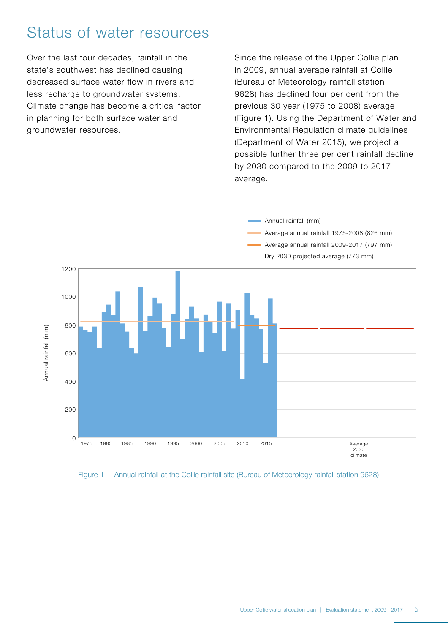# Status of water resources

Over the last four decades, rainfall in the state's southwest has declined causing decreased surface water flow in rivers and less recharge to groundwater systems. Climate change has become a critical factor in planning for both surface water and groundwater resources.

Since the release of the Upper Collie plan in 2009, annual average rainfall at Collie (Bureau of Meteorology rainfall station 9628) has declined four per cent from the previous 30 year (1975 to 2008) average (Figure 1). Using the Department of Water and Environmental Regulation climate guidelines (Department of Water 2015), we project a possible further three per cent rainfall decline by 2030 compared to the 2009 to 2017 average.

**Annual rainfall (mm)** 



Figure 1 | Annual rainfall at the Collie rainfall site (Bureau of Meteorology rainfall station 9628)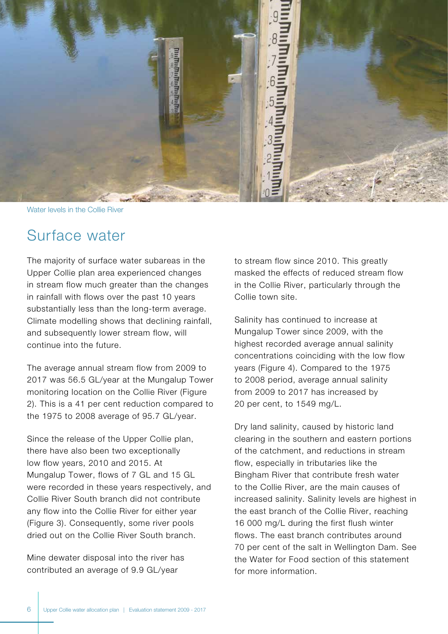

Water levels in the Collie River

# Surface water

The majority of surface water subareas in the Upper Collie plan area experienced changes in stream flow much greater than the changes in rainfall with flows over the past 10 years substantially less than the long-term average. Climate modelling shows that declining rainfall, and subsequently lower stream flow, will continue into the future.

The average annual stream flow from 2009 to 2017 was 56.5 GL/year at the Mungalup Tower monitoring location on the Collie River (Figure 2). This is a 41 per cent reduction compared to the 1975 to 2008 average of 95.7 GL/year.

Since the release of the Upper Collie plan, there have also been two exceptionally low flow years, 2010 and 2015. At Mungalup Tower, flows of 7 GL and 15 GL were recorded in these years respectively, and Collie River South branch did not contribute any flow into the Collie River for either year (Figure 3). Consequently, some river pools dried out on the Collie River South branch.

Mine dewater disposal into the river has contributed an average of 9.9 GL/year

to stream flow since 2010. This greatly masked the effects of reduced stream flow in the Collie River, particularly through the Collie town site.

Salinity has continued to increase at Mungalup Tower since 2009, with the highest recorded average annual salinity concentrations coinciding with the low flow years (Figure 4). Compared to the 1975 to 2008 period, average annual salinity from 2009 to 2017 has increased by 20 per cent, to 1549 mg/L.

Dry land salinity, caused by historic land clearing in the southern and eastern portions of the catchment, and reductions in stream flow, especially in tributaries like the Bingham River that contribute fresh water to the Collie River, are the main causes of increased salinity. Salinity levels are highest in the east branch of the Collie River, reaching 16 000 mg/L during the first flush winter flows. The east branch contributes around 70 per cent of the salt in Wellington Dam. See the Water for Food section of this statement for more information.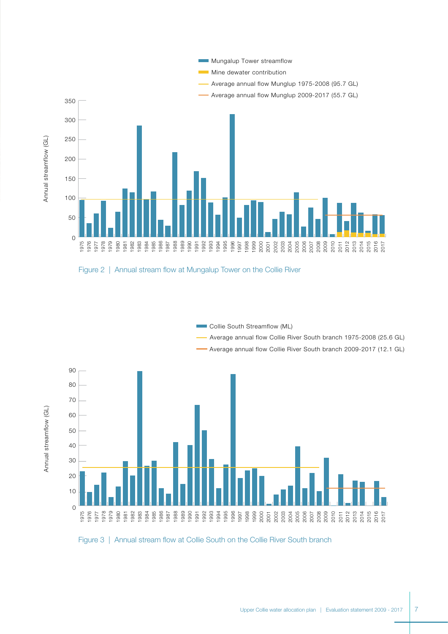

Figure 2 | Annual stream flow at Mungalup Tower on the Collie River

Annual streamflow (GL)



Figure 3 | Annual stream flow at Collie South on the Collie River South branch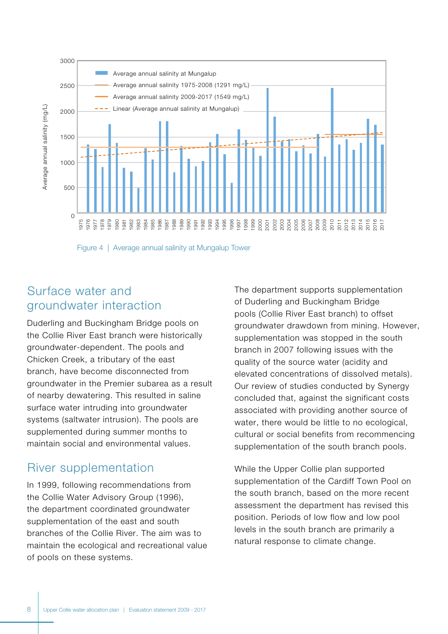

Figure 4 | Average annual salinity at Mungalup Tower

# Surface water and groundwater interaction

Duderling and Buckingham Bridge pools on the Collie River East branch were historically groundwater-dependent. The pools and Chicken Creek, a tributary of the east branch, have become disconnected from groundwater in the Premier subarea as a result of nearby dewatering. This resulted in saline surface water intruding into groundwater systems (saltwater intrusion). The pools are supplemented during summer months to maintain social and environmental values.

# River supplementation

In 1999, following recommendations from the Collie Water Advisory Group (1996), the department coordinated groundwater supplementation of the east and south branches of the Collie River. The aim was to maintain the ecological and recreational value of pools on these systems.

The department supports supplementation of Duderling and Buckingham Bridge pools (Collie River East branch) to offset groundwater drawdown from mining. However, supplementation was stopped in the south branch in 2007 following issues with the quality of the source water (acidity and elevated concentrations of dissolved metals). Our review of studies conducted by Synergy concluded that, against the significant costs associated with providing another source of water, there would be little to no ecological, cultural or social benefits from recommencing supplementation of the south branch pools.

While the Upper Collie plan supported supplementation of the Cardiff Town Pool on the south branch, based on the more recent assessment the department has revised this position. Periods of low flow and low pool levels in the south branch are primarily a natural response to climate change.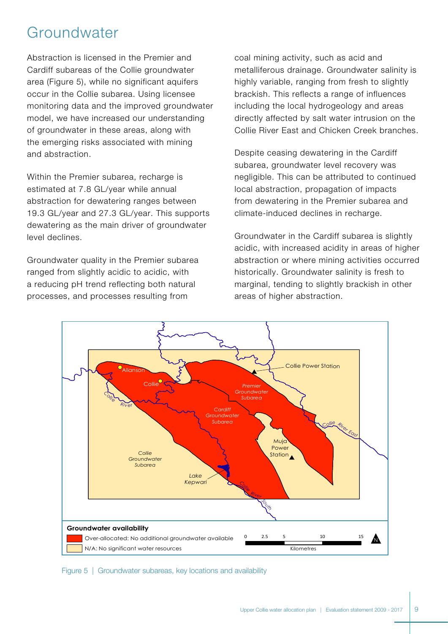# Groundwater

Abstraction is licensed in the Premier and Cardiff subareas of the Collie groundwater area (Figure 5), while no significant aquifers occur in the Collie subarea. Using licensee monitoring data and the improved groundwater model, we have increased our understanding of groundwater in these areas, along with the emerging risks associated with mining and abstraction.

Within the Premier subarea, recharge is estimated at 7.8 GL/year while annual abstraction for dewatering ranges between 19.3 GL/year and 27.3 GL/year. This supports dewatering as the main driver of groundwater level declines.

Groundwater quality in the Premier subarea ranged from slightly acidic to acidic, with a reducing pH trend reflecting both natural processes, and processes resulting from

coal mining activity, such as acid and metalliferous drainage. Groundwater salinity is highly variable, ranging from fresh to slightly brackish. This reflects a range of influences including the local hydrogeology and areas directly affected by salt water intrusion on the Collie River East and Chicken Creek branches.

Despite ceasing dewatering in the Cardiff subarea, groundwater level recovery was negligible. This can be attributed to continued local abstraction, propagation of impacts from dewatering in the Premier subarea and climate-induced declines in recharge.

Groundwater in the Cardiff subarea is slightly acidic, with increased acidity in areas of higher abstraction or where mining activities occurred historically. Groundwater salinity is fresh to marginal, tending to slightly brackish in other areas of higher abstraction.



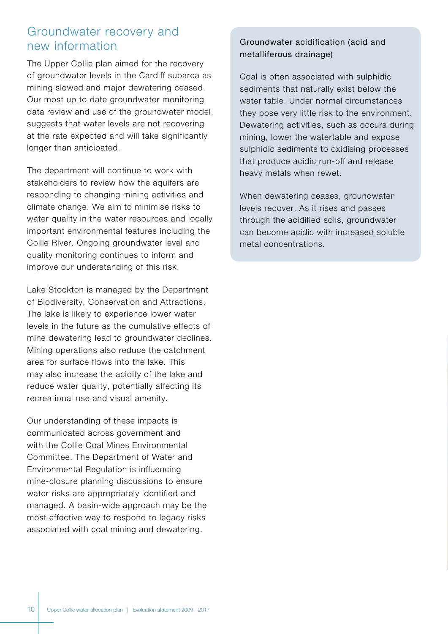### Groundwater recovery and new information

The Upper Collie plan aimed for the recovery of groundwater levels in the Cardiff subarea as mining slowed and major dewatering ceased. Our most up to date groundwater monitoring data review and use of the groundwater model, suggests that water levels are not recovering at the rate expected and will take significantly longer than anticipated.

The department will continue to work with stakeholders to review how the aquifers are responding to changing mining activities and climate change. We aim to minimise risks to water quality in the water resources and locally important environmental features including the Collie River. Ongoing groundwater level and quality monitoring continues to inform and improve our understanding of this risk.

Lake Stockton is managed by the Department of Biodiversity, Conservation and Attractions. The lake is likely to experience lower water levels in the future as the cumulative effects of mine dewatering lead to groundwater declines. Mining operations also reduce the catchment area for surface flows into the lake. This may also increase the acidity of the lake and reduce water quality, potentially affecting its recreational use and visual amenity.

Our understanding of these impacts is communicated across government and with the Collie Coal Mines Environmental Committee. The Department of Water and Environmental Regulation is influencing mine-closure planning discussions to ensure water risks are appropriately identified and managed. A basin-wide approach may be the most effective way to respond to legacy risks associated with coal mining and dewatering.

#### Groundwater acidification (acid and metalliferous drainage)

Coal is often associated with sulphidic sediments that naturally exist below the water table. Under normal circumstances they pose very little risk to the environment. Dewatering activities, such as occurs during mining, lower the watertable and expose sulphidic sediments to oxidising processes that produce acidic run-off and release heavy metals when rewet.

When dewatering ceases, groundwater levels recover. As it rises and passes through the acidified soils, groundwater can become acidic with increased soluble metal concentrations.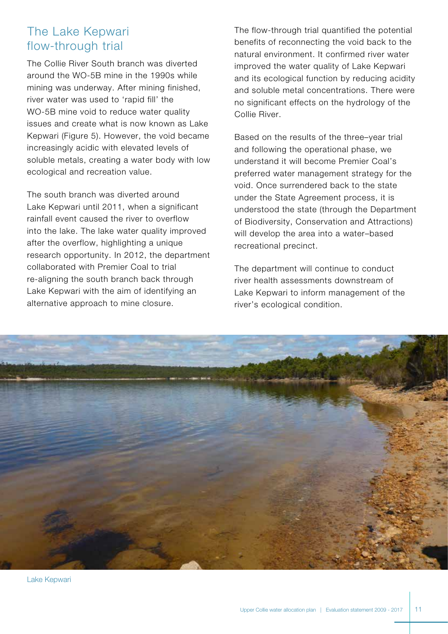# The Lake Kepwari flow-through trial

The Collie River South branch was diverted around the WO-5B mine in the 1990s while mining was underway. After mining finished, river water was used to 'rapid fill' the WO-5B mine void to reduce water quality issues and create what is now known as Lake Kepwari (Figure 5). However, the void became increasingly acidic with elevated levels of soluble metals, creating a water body with low ecological and recreation value.

The south branch was diverted around Lake Kepwari until 2011, when a significant rainfall event caused the river to overflow into the lake. The lake water quality improved after the overflow, highlighting a unique research opportunity. In 2012, the department collaborated with Premier Coal to trial re-aligning the south branch back through Lake Kepwari with the aim of identifying an alternative approach to mine closure.

The flow-through trial quantified the potential benefits of reconnecting the void back to the natural environment. It confirmed river water improved the water quality of Lake Kepwari and its ecological function by reducing acidity and soluble metal concentrations. There were no significant effects on the hydrology of the Collie River.

Based on the results of the three–year trial and following the operational phase, we understand it will become Premier Coal's preferred water management strategy for the void. Once surrendered back to the state under the State Agreement process, it is understood the state (through the Department of Biodiversity, Conservation and Attractions) will develop the area into a water–based recreational precinct.

The department will continue to conduct river health assessments downstream of Lake Kepwari to inform management of the river's ecological condition.



Lake Kepwari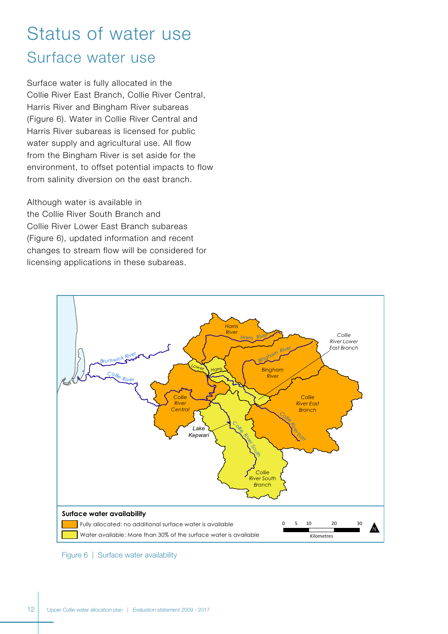# Status of water use Surface water use

Surface water is fully allocated in the Collie River East Branch, Collie River Central, Harris River and Bingham River subareas (Figure 6). Water in Collie River Central and Harris River subareas is licensed for public water supply and agricultural use. All flow from the Bingham River is set aside for the environment, to offset potential impacts to flow from salinity diversion on the east branch.

Although water is available in the Collie River South Branch and Collie River Lower East Branch subareas (Figure 6), updated information and recent changes to stream flow will be considered for licensing applications in these subareas.



Figure 6 | Surface water availability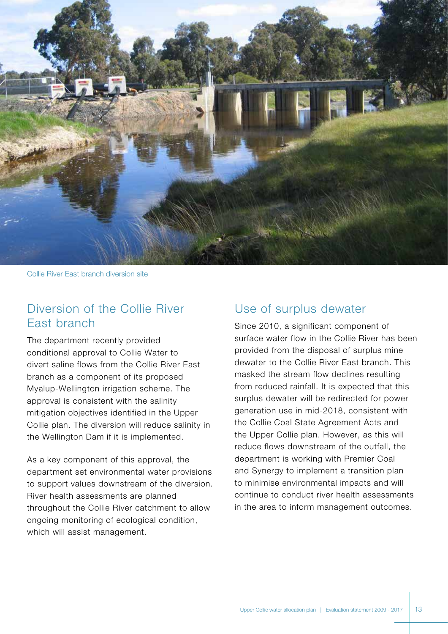

Collie River East branch diversion site

### Diversion of the Collie River East branch

The department recently provided conditional approval to Collie Water to divert saline flows from the Collie River East branch as a component of its proposed Myalup-Wellington irrigation scheme. The approval is consistent with the salinity mitigation objectives identified in the Upper Collie plan. The diversion will reduce salinity in the Wellington Dam if it is implemented.

As a key component of this approval, the department set environmental water provisions to support values downstream of the diversion. River health assessments are planned throughout the Collie River catchment to allow ongoing monitoring of ecological condition, which will assist management.

#### Use of surplus dewater

Since 2010, a significant component of surface water flow in the Collie River has been provided from the disposal of surplus mine dewater to the Collie River East branch. This masked the stream flow declines resulting from reduced rainfall. It is expected that this surplus dewater will be redirected for power generation use in mid-2018, consistent with the Collie Coal State Agreement Acts and the Upper Collie plan. However, as this will reduce flows downstream of the outfall, the department is working with Premier Coal and Synergy to implement a transition plan to minimise environmental impacts and will continue to conduct river health assessments in the area to inform management outcomes.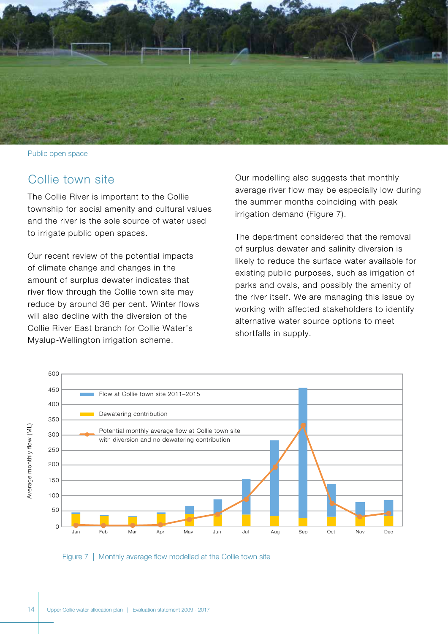

Public open space

### Collie town site

The Collie River is important to the Collie township for social amenity and cultural values and the river is the sole source of water used to irrigate public open spaces.

Our recent review of the potential impacts of climate change and changes in the amount of surplus dewater indicates that river flow through the Collie town site may reduce by around 36 per cent. Winter flows will also decline with the diversion of the Collie River East branch for Collie Water's Myalup-Wellington irrigation scheme.

Our modelling also suggests that monthly average river flow may be especially low during the summer months coinciding with peak irrigation demand (Figure 7).

The department considered that the removal of surplus dewater and salinity diversion is likely to reduce the surface water available for existing public purposes, such as irrigation of parks and ovals, and possibly the amenity of the river itself. We are managing this issue by working with affected stakeholders to identify alternative water source options to meet shortfalls in supply.



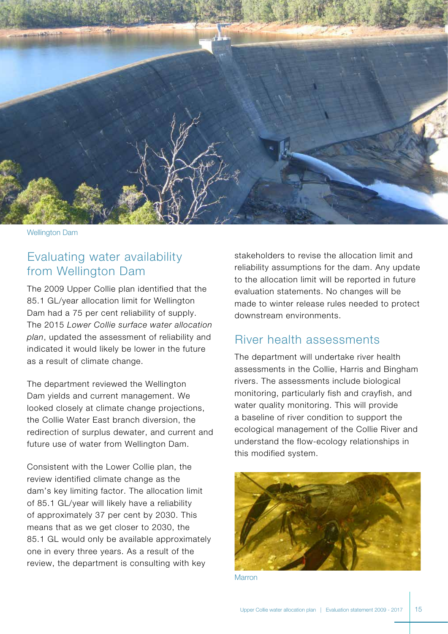

Wellington Dam

# Evaluating water availability from Wellington Dam

The 2009 Upper Collie plan identified that the 85.1 GL/year allocation limit for Wellington Dam had a 75 per cent reliability of supply. The 2015 *Lower Collie surface water allocation plan*, updated the assessment of reliability and indicated it would likely be lower in the future as a result of climate change.

The department reviewed the Wellington Dam yields and current management. We looked closely at climate change projections, the Collie Water East branch diversion, the redirection of surplus dewater, and current and future use of water from Wellington Dam.

Consistent with the Lower Collie plan, the review identified climate change as the dam's key limiting factor. The allocation limit of 85.1 GL/year will likely have a reliability of approximately 37 per cent by 2030. This means that as we get closer to 2030, the 85.1 GL would only be available approximately one in every three years. As a result of the review, the department is consulting with key

stakeholders to revise the allocation limit and reliability assumptions for the dam. Any update to the allocation limit will be reported in future evaluation statements. No changes will be made to winter release rules needed to protect downstream environments.

# River health assessments

The department will undertake river health assessments in the Collie, Harris and Bingham rivers. The assessments include biological monitoring, particularly fish and crayfish, and water quality monitoring. This will provide a baseline of river condition to support the ecological management of the Collie River and understand the flow-ecology relationships in this modified system.



**Marron**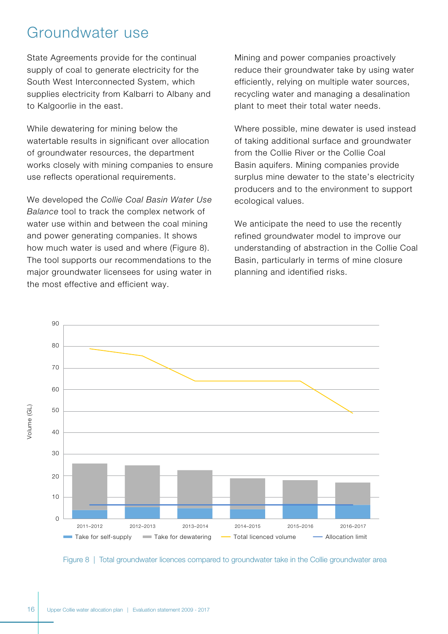# Groundwater use

State Agreements provide for the continual supply of coal to generate electricity for the South West Interconnected System, which supplies electricity from Kalbarri to Albany and to Kalgoorlie in the east.

While dewatering for mining below the watertable results in significant over allocation of groundwater resources, the department works closely with mining companies to ensure use reflects operational requirements.

We developed the *Collie Coal Basin Water Use Balance* tool to track the complex network of water use within and between the coal mining and power generating companies. It shows how much water is used and where (Figure 8). The tool supports our recommendations to the major groundwater licensees for using water in the most effective and efficient way.

Mining and power companies proactively reduce their groundwater take by using water efficiently, relying on multiple water sources, recycling water and managing a desalination plant to meet their total water needs.

Where possible, mine dewater is used instead of taking additional surface and groundwater from the Collie River or the Collie Coal Basin aquifers. Mining companies provide surplus mine dewater to the state's electricity producers and to the environment to support ecological values.

We anticipate the need to use the recently refined groundwater model to improve our understanding of abstraction in the Collie Coal Basin, particularly in terms of mine closure planning and identified risks.



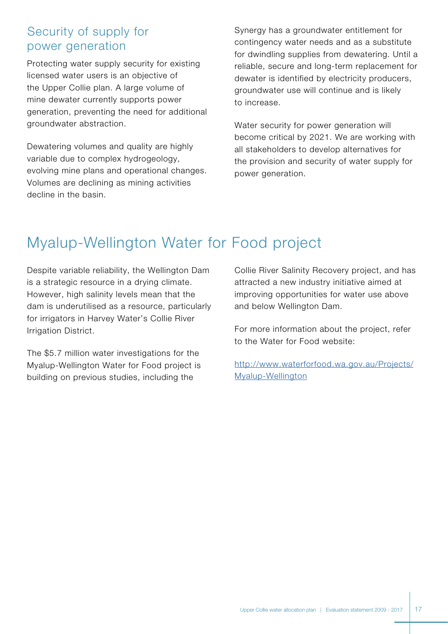# Security of supply for power generation

Protecting water supply security for existing licensed water users is an objective of the Upper Collie plan. A large volume of mine dewater currently supports power generation, preventing the need for additional groundwater abstraction.

Dewatering volumes and quality are highly variable due to complex hydrogeology, evolving mine plans and operational changes. Volumes are declining as mining activities decline in the basin.

Synergy has a groundwater entitlement for contingency water needs and as a substitute for dwindling supplies from dewatering. Until a reliable, secure and long-term replacement for dewater is identified by electricity producers, groundwater use will continue and is likely to increase.

Water security for power generation will become critical by 2021. We are working with all stakeholders to develop alternatives for the provision and security of water supply for power generation.

# Myalup-Wellington Water for Food project

Despite variable reliability, the Wellington Dam is a strategic resource in a drying climate. However, high salinity levels mean that the dam is underutilised as a resource, particularly for irrigators in Harvey Water's Collie River Irrigation District.

The \$5.7 million water investigations for the Myalup-Wellington Water for Food project is building on previous studies, including the

Collie River Salinity Recovery project, and has attracted a new industry initiative aimed at improving opportunities for water use above and below Wellington Dam.

For more information about the project, refer to the Water for Food website:

[http://www.waterforfood.wa.gov.au/Projects/](http://www.waterforfood.wa.gov.au/Projects/Myalup-Wellington) [Myalup-Wellington](http://www.waterforfood.wa.gov.au/Projects/Myalup-Wellington)